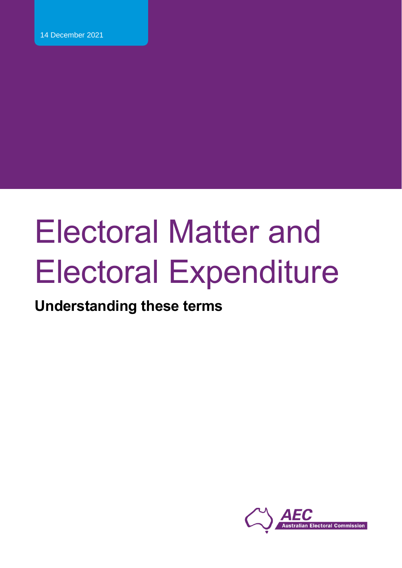# **Understanding these terms**

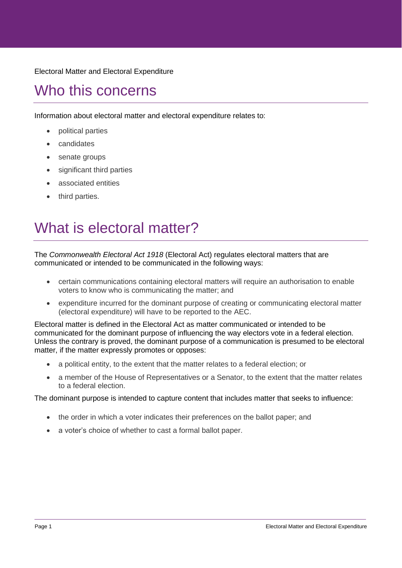# Who this concerns

Information about electoral matter and electoral expenditure relates to:

- political parties
- candidates
- senate groups
- significant third parties
- associated entities
- third parties.

# What is electoral matter?

The *Commonwealth Electoral Act 1918* (Electoral Act) regulates electoral matters that are communicated or intended to be communicated in the following ways:

- certain communications containing electoral matters will require an authorisation to enable voters to know who is communicating the matter; and
- expenditure incurred for the dominant purpose of creating or communicating electoral matter (electoral expenditure) will have to be reported to the AEC.

Electoral matter is defined in the Electoral Act as matter communicated or intended to be communicated for the dominant purpose of influencing the way electors vote in a federal election. Unless the contrary is proved, the dominant purpose of a communication is presumed to be electoral matter, if the matter expressly promotes or opposes:

- a political entity, to the extent that the matter relates to a federal election; or
- a member of the House of Representatives or a Senator, to the extent that the matter relates to a federal election.

The dominant purpose is intended to capture content that includes matter that seeks to influence:

- the order in which a voter indicates their preferences on the ballot paper; and
- a voter's choice of whether to cast a formal ballot paper.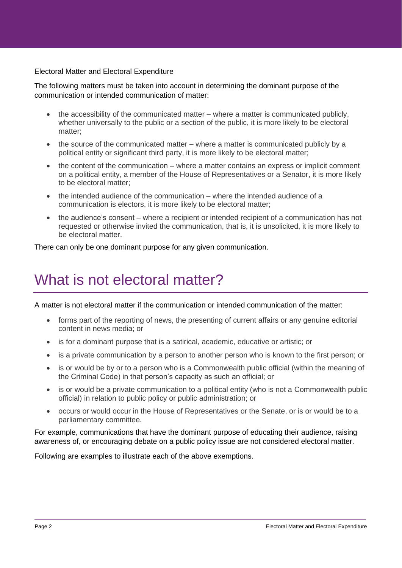The following matters must be taken into account in determining the dominant purpose of the communication or intended communication of matter:

- the accessibility of the communicated matter where a matter is communicated publicly, whether universally to the public or a section of the public, it is more likely to be electoral matter;
- the source of the communicated matter where a matter is communicated publicly by a political entity or significant third party, it is more likely to be electoral matter;
- the content of the communication where a matter contains an express or implicit comment on a political entity, a member of the House of Representatives or a Senator, it is more likely to be electoral matter;
- the intended audience of the communication where the intended audience of a communication is electors, it is more likely to be electoral matter;
- the audience's consent where a recipient or intended recipient of a communication has not requested or otherwise invited the communication, that is, it is unsolicited, it is more likely to be electoral matter.

There can only be one dominant purpose for any given communication.

# What is not electoral matter?

A matter is not electoral matter if the communication or intended communication of the matter:

- forms part of the reporting of news, the presenting of current affairs or any genuine editorial content in news media; or
- is for a dominant purpose that is a satirical, academic, educative or artistic; or
- is a private communication by a person to another person who is known to the first person; or
- is or would be by or to a person who is a Commonwealth public official (within the meaning of the Criminal Code) in that person's capacity as such an official; or
- is or would be a private communication to a political entity (who is not a Commonwealth public official) in relation to public policy or public administration; or
- occurs or would occur in the House of Representatives or the Senate, or is or would be to a parliamentary committee.

For example, communications that have the dominant purpose of educating their audience, raising awareness of, or encouraging debate on a public policy issue are not considered electoral matter.

Following are examples to illustrate each of the above exemptions.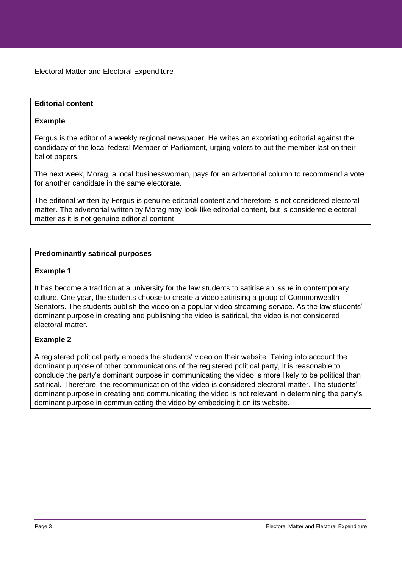#### **Editorial content**

### **Example**

Fergus is the editor of a weekly regional newspaper. He writes an excoriating editorial against the candidacy of the local federal Member of Parliament, urging voters to put the member last on their ballot papers.

The next week, Morag, a local businesswoman, pays for an advertorial column to recommend a vote for another candidate in the same electorate.

The editorial written by Fergus is genuine editorial content and therefore is not considered electoral matter. The advertorial written by Morag may look like editorial content, but is considered electoral matter as it is not genuine editorial content.

#### **Predominantly satirical purposes**

#### **Example 1**

It has become a tradition at a university for the law students to satirise an issue in contemporary culture. One year, the students choose to create a video satirising a group of Commonwealth Senators. The students publish the video on a popular video streaming service. As the law students' dominant purpose in creating and publishing the video is satirical, the video is not considered electoral matter.

# **Example 2**

A registered political party embeds the students' video on their website. Taking into account the dominant purpose of other communications of the registered political party, it is reasonable to conclude the party's dominant purpose in communicating the video is more likely to be political than satirical. Therefore, the recommunication of the video is considered electoral matter. The students' dominant purpose in creating and communicating the video is not relevant in determining the party's dominant purpose in communicating the video by embedding it on its website.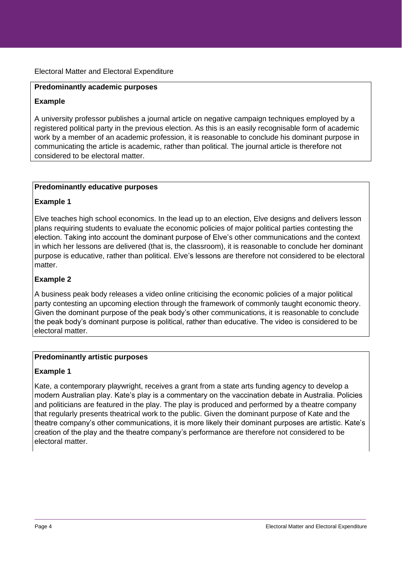#### **Predominantly academic purposes**

#### **Example**

A university professor publishes a journal article on negative campaign techniques employed by a registered political party in the previous election. As this is an easily recognisable form of academic work by a member of an academic profession, it is reasonable to conclude his dominant purpose in communicating the article is academic, rather than political. The journal article is therefore not considered to be electoral matter.

#### **Predominantly educative purposes**

#### **Example 1**

Elve teaches high school economics. In the lead up to an election, Elve designs and delivers lesson plans requiring students to evaluate the economic policies of major political parties contesting the election. Taking into account the dominant purpose of Elve's other communications and the context in which her lessons are delivered (that is, the classroom), it is reasonable to conclude her dominant purpose is educative, rather than political. Elve's lessons are therefore not considered to be electoral matter.

#### **Example 2**

A business peak body releases a video online criticising the economic policies of a major political party contesting an upcoming election through the framework of commonly taught economic theory. Given the dominant purpose of the peak body's other communications, it is reasonable to conclude the peak body's dominant purpose is political, rather than educative. The video is considered to be electoral matter.

#### **Predominantly artistic purposes**

#### **Example 1**

Kate, a contemporary playwright, receives a grant from a state arts funding agency to develop a modern Australian play. Kate's play is a commentary on the vaccination debate in Australia. Policies and politicians are featured in the play. The play is produced and performed by a theatre company that regularly presents theatrical work to the public. Given the dominant purpose of Kate and the theatre company's other communications, it is more likely their dominant purposes are artistic. Kate's creation of the play and the theatre company's performance are therefore not considered to be electoral matter.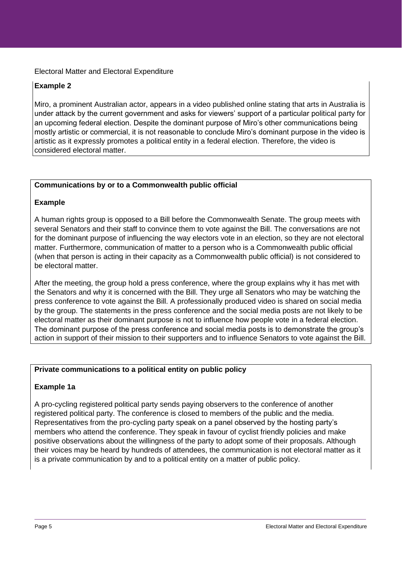# **Example 2**

Miro, a prominent Australian actor, appears in a video published online stating that arts in Australia is under attack by the current government and asks for viewers' support of a particular political party for an upcoming federal election. Despite the dominant purpose of Miro's other communications being mostly artistic or commercial, it is not reasonable to conclude Miro's dominant purpose in the video is artistic as it expressly promotes a political entity in a federal election. Therefore, the video is considered electoral matter.

#### **Communications by or to a Commonwealth public official**

#### **Example**

A human rights group is opposed to a Bill before the Commonwealth Senate. The group meets with several Senators and their staff to convince them to vote against the Bill. The conversations are not for the dominant purpose of influencing the way electors vote in an election, so they are not electoral matter. Furthermore, communication of matter to a person who is a Commonwealth public official (when that person is acting in their capacity as a Commonwealth public official) is not considered to be electoral matter.

After the meeting, the group hold a press conference, where the group explains why it has met with the Senators and why it is concerned with the Bill. They urge all Senators who may be watching the press conference to vote against the Bill. A professionally produced video is shared on social media by the group. The statements in the press conference and the social media posts are not likely to be electoral matter as their dominant purpose is not to influence how people vote in a federal election. The dominant purpose of the press conference and social media posts is to demonstrate the group's action in support of their mission to their supporters and to influence Senators to vote against the Bill.

# **Private communications to a political entity on public policy**

# **Example 1a**

A pro-cycling registered political party sends paying observers to the conference of another registered political party. The conference is closed to members of the public and the media. Representatives from the pro-cycling party speak on a panel observed by the hosting party's members who attend the conference. They speak in favour of cyclist friendly policies and make positive observations about the willingness of the party to adopt some of their proposals. Although their voices may be heard by hundreds of attendees, the communication is not electoral matter as it is a private communication by and to a political entity on a matter of public policy.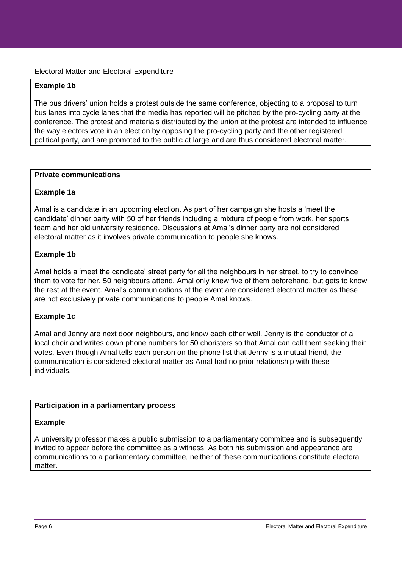# **Example 1b**

The bus drivers' union holds a protest outside the same conference, objecting to a proposal to turn bus lanes into cycle lanes that the media has reported will be pitched by the pro-cycling party at the conference. The protest and materials distributed by the union at the protest are intended to influence the way electors vote in an election by opposing the pro-cycling party and the other registered political party, and are promoted to the public at large and are thus considered electoral matter.

#### **Private communications**

#### **Example 1a**

Amal is a candidate in an upcoming election. As part of her campaign she hosts a 'meet the candidate' dinner party with 50 of her friends including a mixture of people from work, her sports team and her old university residence. Discussions at Amal's dinner party are not considered electoral matter as it involves private communication to people she knows.

#### **Example 1b**

Amal holds a 'meet the candidate' street party for all the neighbours in her street, to try to convince them to vote for her. 50 neighbours attend. Amal only knew five of them beforehand, but gets to know the rest at the event. Amal's communications at the event are considered electoral matter as these are not exclusively private communications to people Amal knows.

#### **Example 1c**

Amal and Jenny are next door neighbours, and know each other well. Jenny is the conductor of a local choir and writes down phone numbers for 50 choristers so that Amal can call them seeking their votes. Even though Amal tells each person on the phone list that Jenny is a mutual friend, the communication is considered electoral matter as Amal had no prior relationship with these individuals.

#### **Participation in a parliamentary process**

#### **Example**

A university professor makes a public submission to a parliamentary committee and is subsequently invited to appear before the committee as a witness. As both his submission and appearance are communications to a parliamentary committee, neither of these communications constitute electoral matter.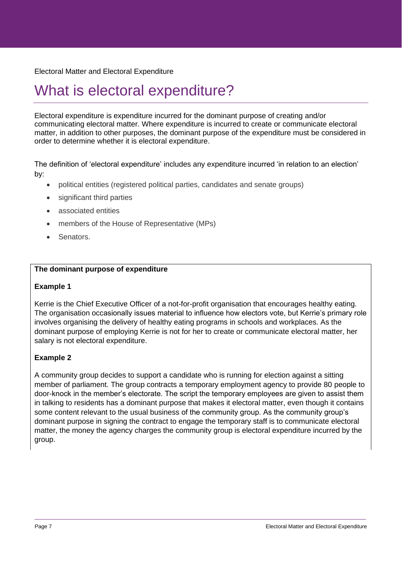# What is electoral expenditure?

Electoral expenditure is expenditure incurred for the dominant purpose of creating and/or communicating electoral matter. Where expenditure is incurred to create or communicate electoral matter, in addition to other purposes, the dominant purpose of the expenditure must be considered in order to determine whether it is electoral expenditure.

The definition of 'electoral expenditure' includes any expenditure incurred 'in relation to an election' by:

- political entities (registered political parties, candidates and senate groups)
- significant third parties
- associated entities
- members of the House of Representative (MPs)
- Senators.

#### **The dominant purpose of expenditure**

#### **Example 1**

Kerrie is the Chief Executive Officer of a not-for-profit organisation that encourages healthy eating. The organisation occasionally issues material to influence how electors vote, but Kerrie's primary role involves organising the delivery of healthy eating programs in schools and workplaces. As the dominant purpose of employing Kerrie is not for her to create or communicate electoral matter, her salary is not electoral expenditure.

# **Example 2**

A community group decides to support a candidate who is running for election against a sitting member of parliament. The group contracts a temporary employment agency to provide 80 people to door-knock in the member's electorate. The script the temporary employees are given to assist them in talking to residents has a dominant purpose that makes it electoral matter, even though it contains some content relevant to the usual business of the community group. As the community group's dominant purpose in signing the contract to engage the temporary staff is to communicate electoral matter, the money the agency charges the community group is electoral expenditure incurred by the group.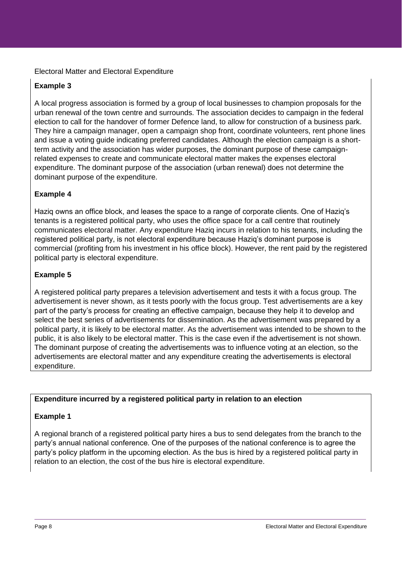# **Example 3**

A local progress association is formed by a group of local businesses to champion proposals for the urban renewal of the town centre and surrounds. The association decides to campaign in the federal election to call for the handover of former Defence land, to allow for construction of a business park. They hire a campaign manager, open a campaign shop front, coordinate volunteers, rent phone lines and issue a voting guide indicating preferred candidates. Although the election campaign is a shortterm activity and the association has wider purposes, the dominant purpose of these campaignrelated expenses to create and communicate electoral matter makes the expenses electoral expenditure. The dominant purpose of the association (urban renewal) does not determine the dominant purpose of the expenditure.

# **Example 4**

Haziq owns an office block, and leases the space to a range of corporate clients. One of Haziq's tenants is a registered political party, who uses the office space for a call centre that routinely communicates electoral matter. Any expenditure Haziq incurs in relation to his tenants, including the registered political party, is not electoral expenditure because Haziq's dominant purpose is commercial (profiting from his investment in his office block). However, the rent paid by the registered political party is electoral expenditure.

# **Example 5**

A registered political party prepares a television advertisement and tests it with a focus group. The advertisement is never shown, as it tests poorly with the focus group. Test advertisements are a key part of the party's process for creating an effective campaign, because they help it to develop and select the best series of advertisements for dissemination. As the advertisement was prepared by a political party, it is likely to be electoral matter. As the advertisement was intended to be shown to the public, it is also likely to be electoral matter. This is the case even if the advertisement is not shown. The dominant purpose of creating the advertisements was to influence voting at an election, so the advertisements are electoral matter and any expenditure creating the advertisements is electoral expenditure.

#### **Expenditure incurred by a registered political party in relation to an election**

# **Example 1**

A regional branch of a registered political party hires a bus to send delegates from the branch to the party's annual national conference. One of the purposes of the national conference is to agree the party's policy platform in the upcoming election. As the bus is hired by a registered political party in relation to an election, the cost of the bus hire is electoral expenditure.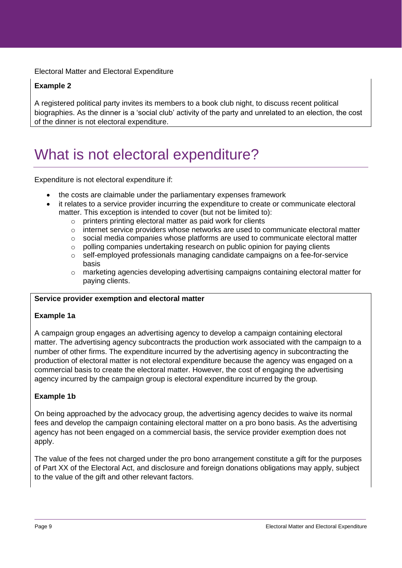# **Example 2**

A registered political party invites its members to a book club night, to discuss recent political biographies. As the dinner is a 'social club' activity of the party and unrelated to an election, the cost of the dinner is not electoral expenditure.

# What is not electoral expenditure?

Expenditure is not electoral expenditure if:

- the costs are claimable under the parliamentary expenses framework
- it relates to a service provider incurring the expenditure to create or communicate electoral matter. This exception is intended to cover (but not be limited to):
	- o printers printing electoral matter as paid work for clients
	- $\circ$  internet service providers whose networks are used to communicate electoral matter
	- $\circ$  social media companies whose platforms are used to communicate electoral matter
	- o polling companies undertaking research on public opinion for paying clients
	- $\circ$  self-employed professionals managing candidate campaigns on a fee-for-service basis
	- $\circ$  marketing agencies developing advertising campaigns containing electoral matter for paying clients.

#### **Service provider exemption and electoral matter**

#### **Example 1a**

A campaign group engages an advertising agency to develop a campaign containing electoral matter. The advertising agency subcontracts the production work associated with the campaign to a number of other firms. The expenditure incurred by the advertising agency in subcontracting the production of electoral matter is not electoral expenditure because the agency was engaged on a commercial basis to create the electoral matter. However, the cost of engaging the advertising agency incurred by the campaign group is electoral expenditure incurred by the group.

# **Example 1b**

On being approached by the advocacy group, the advertising agency decides to waive its normal fees and develop the campaign containing electoral matter on a pro bono basis. As the advertising agency has not been engaged on a commercial basis, the service provider exemption does not apply.

The value of the fees not charged under the pro bono arrangement constitute a gift for the purposes of Part XX of the Electoral Act, and disclosure and foreign donations obligations may apply, subject to the value of the gift and other relevant factors.